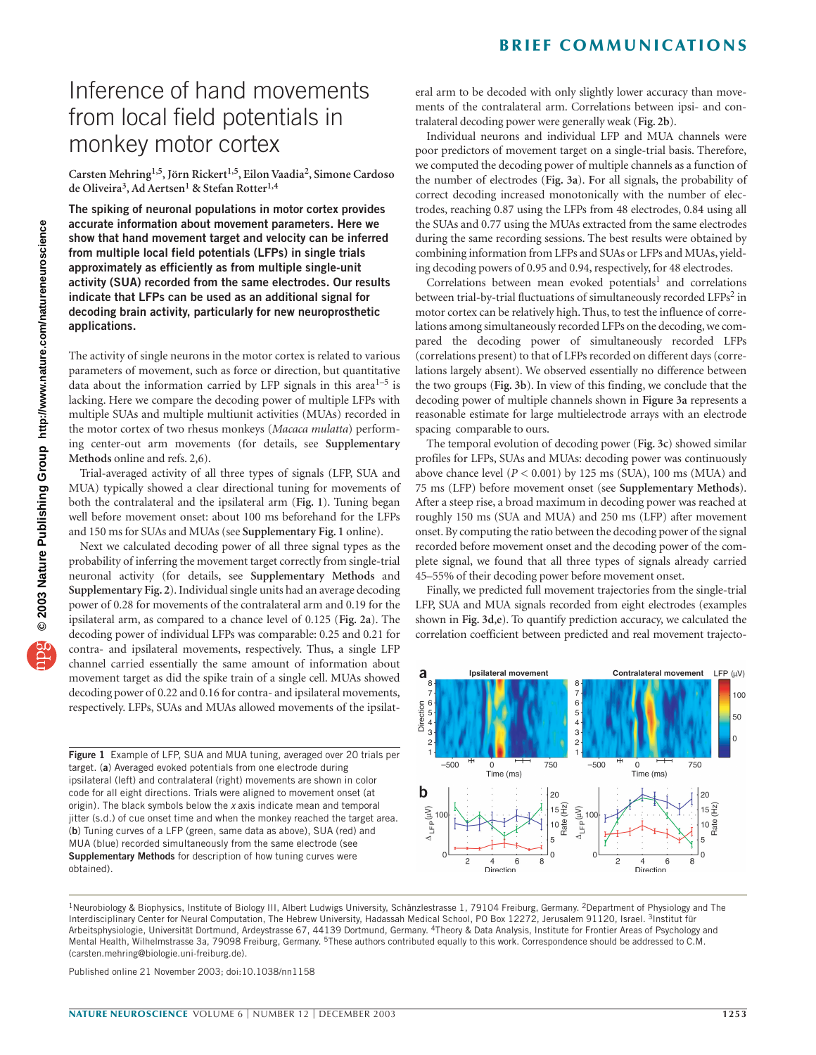### **BRIEF COMMUNICATIONS**

# Inference of hand movements from local field potentials in monkey motor cortex

**Carsten Mehring1,5,Jörn Rickert1,5, Eilon Vaadia2, Simone Cardoso de Oliveira3, Ad Aertsen1 & Stefan Rotter1,4**

**The spiking of neuronal populations in motor cortex provides accurate information about movement parameters. Here we show that hand movement target and velocity can be inferred from multiple local field potentials (LFPs) in single trials approximately as efficiently as from multiple single-unit activity (SUA) recorded from the same electrodes. Our results indicate that LFPs can be used as an additional signal for decoding brain activity, particularly for new neuroprosthetic applications.**

The activity of single neurons in the motor cortex is related to various parameters of movement, such as force or direction, but quantitative data about the information carried by LFP signals in this area<sup>1-5</sup> is lacking. Here we compare the decoding power of multiple LFPs with multiple SUAs and multiple multiunit activities (MUAs) recorded in the motor cortex of two rhesus monkeys (*Macaca mulatta*) performing center-out arm movements (for details, see **Supplementary Methods** online and refs. 2,6).

Trial-averaged activity of all three types of signals (LFP, SUA and MUA) typically showed a clear directional tuning for movements of both the contralateral and the ipsilateral arm (**Fig. 1**). Tuning began well before movement onset: about 100 ms beforehand for the LFPs and 150 ms for SUAs and MUAs (see **Supplementary Fig. 1** online).

Next we calculated decoding power of all three signal types as the probability of inferring the movement target correctly from single-trial neuronal activity (for details, see **Supplementary Methods** and **Supplementary Fig. 2**). Individual single units had an average decoding power of 0.28 for movements of the contralateral arm and 0.19 for the ipsilateral arm, as compared to a chance level of 0.125 (**Fig. 2a**). The decoding power of individual LFPs was comparable: 0.25 and 0.21 for contra- and ipsilateral movements, respectively. Thus, a single LFP channel carried essentially the same amount of information about movement target as did the spike train of a single cell. MUAs showed decoding power of 0.22 and 0.16 for contra- and ipsilateral movements, respectively. LFPs, SUAs and MUAs allowed movements of the ipsilat-

**Figure 1** Example of LFP, SUA and MUA tuning, averaged over 20 trials per target. (**a**) Averaged evoked potentials from one electrode during ipsilateral (left) and contralateral (right) movements are shown in color code for all eight directions. Trials were aligned to movement onset (at origin). The black symbols below the *x* axis indicate mean and temporal jitter (s.d.) of cue onset time and when the monkey reached the target area. (**b**) Tuning curves of a LFP (green, same data as above), SUA (red) and MUA (blue) recorded simultaneously from the same electrode (see **Supplementary Methods** for description of how tuning curves were obtained).

eral arm to be decoded with only slightly lower accuracy than movements of the contralateral arm. Correlations between ipsi- and contralateral decoding power were generally weak (**Fig. 2b**).

Individual neurons and individual LFP and MUA channels were poor predictors of movement target on a single-trial basis. Therefore, we computed the decoding power of multiple channels as a function of the number of electrodes (**Fig. 3a**). **F**or all signals, the probability of correct decoding increased monotonically with the number of electrodes, reaching 0.87 using the LFPs from 48 electrodes, 0.84 using all the SUAs and 0.77 using the MUAs extracted from the same electrodes during the same recording sessions. The best results were obtained by combining information from LFPs and SUAs or LFPs and MUAs, yielding decoding powers of 0.95 and 0.94, respectively, for 48 electrodes.

Correlations between mean evoked potentials<sup>1</sup> and correlations between trial-by-trial fluctuations of simultaneously recorded LFPs<sup>2</sup> in motor cortex can be relatively high. Thus, to test the influence of correlations among simultaneously recorded LFPs on the decoding, we compared the decoding power of simultaneously recorded LFPs (correlations present) to that of LFPs recorded on different days (correlations largely absent). We observed essentially no difference between the two groups (**Fig. 3b**). In view of this finding, we conclude that the decoding power of multiple channels shown in **Figure 3a** represents a reasonable estimate for large multielectrode arrays with an electrode spacing comparable to ours.

The temporal evolution of decoding power (**Fig. 3c**) showed similar profiles for LFPs, SUAs and MUAs: decoding power was continuously above chance level  $(P < 0.001)$  by 125 ms (SUA), 100 ms (MUA) and 75 ms (LFP) before movement onset (see **Supplementary Methods**). After a steep rise, a broad maximum in decoding power was reached at roughly 150 ms (SUA and MUA) and 250 ms (LFP) after movement onset. By computing the ratio between the decoding power of the signal recorded before movement onset and the decoding power of the complete signal, we found that all three types of signals already carried 45–55% of their decoding power before movement onset.

Finally, we predicted full movement trajectories from the single-trial LFP, SUA and MUA signals recorded from eight electrodes (examples shown in **Fig. 3d**,**e**). To quantify prediction accuracy, we calculated the correlation coefficient between predicted and real movement trajecto-



<sup>1</sup>Neurobiology & Biophysics, Institute of Biology III, Albert Ludwigs University, Schänzlestrasse 1, 79104 Freiburg, Germany. <sup>2</sup>Department of Physiology and The Interdisciplinary Center for Neural Computation, The Hebrew University, Hadassah Medical School, PO Box 12272, Jerusalem 91120, Israel. 3Institut für Arbeitsphysiologie, Universität Dortmund, Ardeystrasse 67, 44139 Dortmund, Germany. 4Theory & Data Analysis, Institute for Frontier Areas of Psychology and Mental Health, Wilhelmstrasse 3a, 79098 Freiburg, Germany. <sup>5</sup>These authors contributed equally to this work. Correspondence should be addressed to C.M. (carsten.mehring@biologie.uni-freiburg.de).

Published online 21 November 2003; doi:10.1038/nn1158